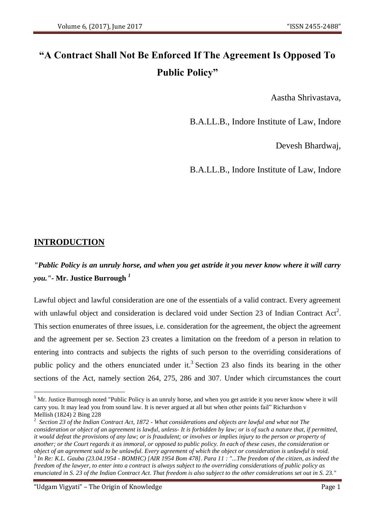# **"A Contract Shall Not Be Enforced If The Agreement Is Opposed To Public Policy"**

Aastha Shrivastava,

B.A.LL.B., Indore Institute of Law, Indore

Devesh Bhardwaj,

B.A.LL.B., Indore Institute of Law, Indore

# **INTRODUCTION**

1

# *"Public Policy is an unruly horse, and when you get astride it you never know where it will carry you."-* **Mr. Justice Burrough** *<sup>1</sup>*

Lawful object and lawful consideration are one of the essentials of a valid contract. Every agreement with unlawful object and consideration is declared void under Section 23 of Indian Contract Act<sup>2</sup>. This section enumerates of three issues, i.e. consideration for the agreement, the object the agreement and the agreement per se. Section 23 creates a limitation on the freedom of a person in relation to entering into contracts and subjects the rights of such person to the overriding considerations of public policy and the others enunciated under it.<sup>3</sup> Section 23 also finds its bearing in the other sections of the Act, namely section 264, 275, 286 and 307. Under which circumstances the court

"Udgam Vigyati" – The Origin of Knowledge Page 1

<sup>&</sup>lt;sup>1</sup> Mr. Justice Burrough noted "Public Policy is an unruly horse, and when you get astride it you never know where it will carry you. It may lead you from sound law. It is never argued at all but when other points fail" Richardson v Mellish (1824) 2 Bing 228

<sup>2</sup> *Section 23 of the Indian Contract Act, 1872 - What considerations and objects are lawful and what not The consideration or object of an agreement is lawful, unless- It is forbidden by law; or is of such a nature that, if permitted, it would defeat the provisions of any law; or is fraudulent; or involves or implies injury to the person or property of another; or the Court regards it as immoral, or opposed to public policy. In each of these cases, the consideration or object of an agreement said to be unlawful. Every agreement of which the object or consideration is unlawful is void.* 3 *In Re: K.L. Gauba (23.04.1954 - BOMHC) [AIR 1954 Bom 478]. Para 11 : "...The freedom of the citizen, as indeed the freedom of the lawyer, to enter into a contract is always subject to the overriding considerations of public policy as enunciated in S. 23 of the Indian Contract Act. That freedom is also subject to the other considerations set out in S. 23."*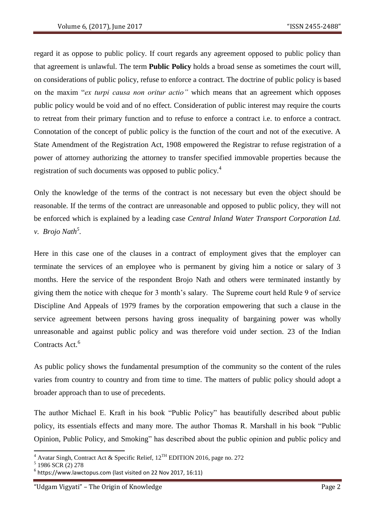regard it as oppose to public policy. If court regards any agreement opposed to public policy than that agreement is unlawful. The term **Public Policy** holds a broad sense as sometimes the court will, on considerations of public policy, refuse to enforce a contract. The doctrine of public policy is based on the maxim "*ex turpi causa non oritur actio"* which means that an agreement which opposes public policy would be void and of no effect. Consideration of public interest may require the courts to retreat from their primary function and to refuse to enforce a contract i.e. to enforce a contract. Connotation of the concept of public policy is the function of the court and not of the executive. A State Amendment of the Registration Act, 1908 empowered the Registrar to refuse registration of a power of attorney authorizing the attorney to transfer specified immovable properties because the registration of such documents was opposed to public policy.<sup>4</sup>

Only the knowledge of the terms of the contract is not necessary but even the object should be reasonable. If the terms of the contract are unreasonable and opposed to public policy, they will not be enforced which is explained by a leading case *Central Inland Water Transport Corporation Ltd. v. Brojo Nath<sup>5</sup> .*

Here in this case one of the clauses in a contract of employment gives that the employer can terminate the services of an employee who is permanent by giving him a notice or salary of 3 months. Here the service of the respondent Brojo Nath and others were terminated instantly by giving them the notice with cheque for 3 month's salary. The Supreme court held Rule 9 of service Discipline And Appeals of 1979 frames by the corporation empowering that such a clause in the service agreement between persons having gross inequality of bargaining power was wholly unreasonable and against public policy and was therefore void under section. 23 of the Indian Contracts Act.<sup>6</sup>

As public policy shows the fundamental presumption of the community so the content of the rules varies from country to country and from time to time. The matters of public policy should adopt a broader approach than to use of precedents.

The author Michael E. Kraft in his book "Public Policy" has beautifully described about public policy, its essentials effects and many more. The author Thomas R. Marshall in his book "Public Opinion, Public Policy, and Smoking" has described about the public opinion and public policy and

<sup>&</sup>lt;sup>4</sup> Avatar Singh, Contract Act & Specific Relief,  $12^{TH}$  EDITION 2016, page no. 272

 $5$  1986 SCR (2) 278

 $<sup>6</sup>$  https://www.lawctopus.com (last visited on 22 Nov 2017, 16:11)</sup>

<sup>&</sup>quot;Udgam Vigyati" – The Origin of Knowledge Page 2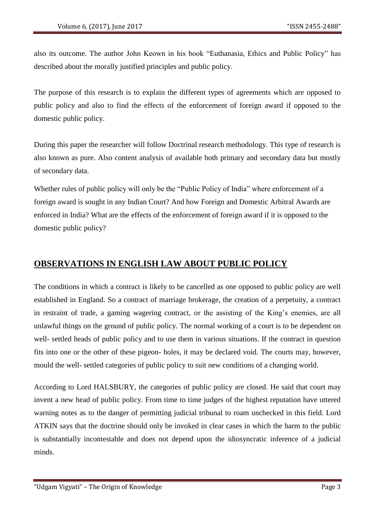also its outcome. The author John Keown in his book "Euthanasia, Ethics and Public Policy" has described about the morally justified principles and public policy.

The purpose of this research is to explain the different types of agreements which are opposed to public policy and also to find the effects of the enforcement of foreign award if opposed to the domestic public policy.

During this paper the researcher will follow Doctrinal research methodology. This type of research is also known as pure. Also content analysis of available both primary and secondary data but mostly of secondary data.

Whether rules of public policy will only be the "Public Policy of India" where enforcement of a foreign award is sought in any Indian Court? And how Foreign and Domestic Arbitral Awards are enforced in India? What are the effects of the enforcement of foreign award if it is opposed to the domestic public policy?

# **OBSERVATIONS IN ENGLISH LAW ABOUT PUBLIC POLICY**

The conditions in which a contract is likely to be cancelled as one opposed to public policy are well established in England. So a contract of marriage brokerage, the creation of a perpetuity, a contract in restraint of trade, a gaming wagering contract, or the assisting of the King's enemies, are all unlawful things on the ground of public policy. The normal working of a court is to be dependent on well- settled heads of public policy and to use them in various situations. If the contract in question fits into one or the other of these pigeon- holes, it may be declared void. The courts may, however, mould the well- settled categories of public policy to suit new conditions of a changing world.

According to Lord HALSBURY, the categories of public policy are closed. He said that court may invent a new head of public policy. From time to time judges of the highest reputation have uttered warning notes as to the danger of permitting judicial tribunal to roam unchecked in this field. Lord ATKIN says that the doctrine should only be invoked in clear cases in which the harm to the public is substantially incontestable and does not depend upon the idiosyncratic inference of a judicial minds.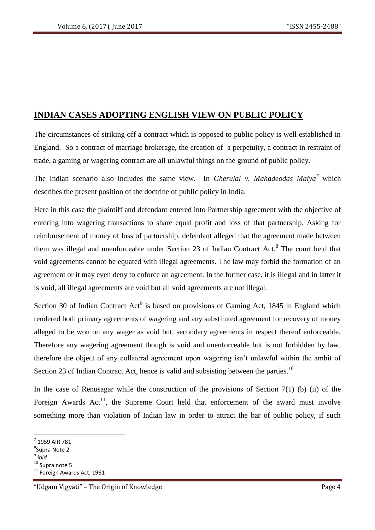## **INDIAN CASES ADOPTING ENGLISH VIEW ON PUBLIC POLICY**

The circumstances of striking off a contract which is opposed to public policy is well established in England. So a contract of marriage brokerage, the creation of a perpetuity, a contract in restraint of trade, a gaming or wagering contract are all unlawful things on the ground of public policy.

The Indian scenario also includes the same view. In *Gherulal v. Mahadeodas Maiya<sup>7</sup>* which describes the present position of the doctrine of public policy in India.

Here in this case the plaintiff and defendant entered into Partnership agreement with the objective of entering into wagering transactions to share equal profit and loss of that partnership. Asking for reimbursement of money of loss of partnership, defendant alleged that the agreement made between them was illegal and unenforceable under Section 23 of Indian Contract Act.<sup>8</sup> The court held that void agreements cannot be equated with illegal agreements. The law may forbid the formation of an agreement or it may even deny to enforce an agreement. In the former case, it is illegal and in latter it is void, all illegal agreements are void but all void agreements are not illegal.

Section 30 of Indian Contract  $Act^9$  is based on provisions of Gaming Act, 1845 in England which rendered both primary agreements of wagering and any substituted agreement for recovery of money alleged to be won on any wager as void but, secondary agreements in respect thereof enforceable. Therefore any wagering agreement though is void and unenforceable but is not forbidden by law, therefore the object of any collateral agreement upon wagering isn't unlawful within the ambit of Section 23 of Indian Contract Act, hence is valid and subsisting between the parties.<sup>10</sup>

In the case of Renusagar while the construction of the provisions of Section  $7(1)$  (b) (ii) of the Foreign Awards  $Act^{11}$ , the Supreme Court held that enforcement of the award must involve something more than violation of Indian law in order to attract the bar of public policy, if such

 $<sup>7</sup>$  1959 AIR 781</sup>

<sup>8</sup> Supra Note 2

<sup>9</sup> *ibid*

<sup>&</sup>lt;sup>10</sup> Supra note 5

<sup>&</sup>lt;sup>11</sup> Foreign Awards Act, 1961

<sup>&</sup>quot;Udgam Vigyati" – The Origin of Knowledge Page 4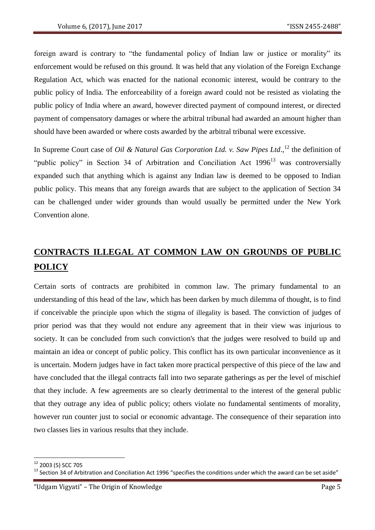foreign award is contrary to "the fundamental policy of Indian law or justice or morality" its enforcement would be refused on this ground. It was held that any violation of the Foreign Exchange Regulation Act, which was enacted for the national economic interest, would be contrary to the public policy of India. The enforceability of a foreign award could not be resisted as violating the public policy of India where an award, however directed payment of compound interest, or directed payment of compensatory damages or where the arbitral tribunal had awarded an amount higher than should have been awarded or where costs awarded by the arbitral tribunal were excessive.

In Supreme Court case of *Oil & Natural Gas Corporation Ltd. v. Saw Pipes Ltd.*,<sup>12</sup> the definition of "public policy" in Section 34 of Arbitration and Conciliation Act  $1996<sup>13</sup>$  was controversially expanded such that anything which is against any Indian law is deemed to be opposed to Indian public policy. This means that any foreign awards that are subject to the application of Section 34 can be challenged under wider grounds than would usually be permitted under the New York Convention alone.

# **CONTRACTS ILLEGAL AT COMMON LAW ON GROUNDS OF PUBLIC POLICY**

Certain sorts of contracts are prohibited in common law. The primary fundamental to an understanding of this head of the law, which has been darken by much dilemma of thought, is to find if conceivable the principle upon which the stigma of illegality is based. The conviction of judges of prior period was that they would not endure any agreement that in their view was injurious to society. It can be concluded from such conviction's that the judges were resolved to build up and maintain an idea or concept of public policy. This conflict has its own particular inconvenience as it is uncertain. Modern judges have in fact taken more practical perspective of this piece of the law and have concluded that the illegal contracts fall into two separate gatherings as per the level of mischief that they include. A few agreements are so clearly detrimental to the interest of the general public that they outrage any idea of public policy; others violate no fundamental sentiments of morality, however run counter just to social or economic advantage. The consequence of their separation into two classes lies in various results that they include.

 $\overline{\phantom{a}}$ 

<sup>&</sup>lt;sup>12</sup> 2003 (5) SCC 705

 $13$  Section 34 of Arbitration and Conciliation Act 1996 "specifies the conditions under which the award can be set aside"

<sup>&</sup>quot;Udgam Vigyati" – The Origin of Knowledge Page 5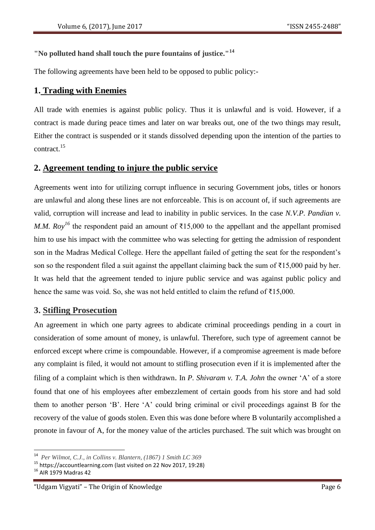#### **"No polluted hand shall touch the pure fountains of justice."<sup>14</sup>**

The following agreements have been held to be opposed to public policy:-

#### **1. Trading with Enemies**

All trade with enemies is against public policy. Thus it is unlawful and is void. However, if a contract is made during peace times and later on war breaks out, one of the two things may result, Either the contract is suspended or it stands dissolved depending upon the intention of the parties to contract.<sup>15</sup>

#### **2. Agreement tending to injure the public service**

Agreements went into for utilizing corrupt influence in securing Government jobs, titles or honors are unlawful and along these lines are not enforceable. This is on account of, if such agreements are valid, corruption will increase and lead to inability in public services. In the case *N.V.P. Pandian v. M.M. Roy<sup>16</sup>* the respondent paid an amount of ₹15,000 to the appellant and the appellant promised him to use his impact with the committee who was selecting for getting the admission of respondent son in the Madras Medical College. Here the appellant failed of getting the seat for the respondent's son so the respondent filed a suit against the appellant claiming back the sum of ₹15,000 paid by her. It was held that the agreement tended to injure public service and was against public policy and hence the same was void. So, she was not held entitled to claim the refund of  $\bar{\tau}$ 15,000.

#### **3. Stifling Prosecution**

An agreement in which one party agrees to abdicate criminal proceedings pending in a court in consideration of some amount of money, is unlawful. Therefore, such type of agreement cannot be enforced except where crime is compoundable. However, if a compromise agreement is made before any complaint is filed, it would not amount to stifling prosecution even if it is implemented after the filing of a complaint which is then withdrawn. In *P. Shivaram v. T.A. John* the owner 'A' of a store found that one of his employees after embezzlement of certain goods from his store and had sold them to another person 'B'. Here 'A' could bring criminal or civil proceedings against B for the recovery of the value of goods stolen. Even this was done before where B voluntarily accomplished a pronote in favour of A, for the money value of the articles purchased. The suit which was brought on

<sup>14</sup> *Per Wilmot, C.J., in Collins v. Blantern, (1867) 1 Smith LC 369*

<sup>15</sup> https://accountlearning.com (last visited on 22 Nov 2017, 19:28)

<sup>16</sup> AIR 1979 Madras 42

<sup>&</sup>quot;Udgam Vigyati" – The Origin of Knowledge Page 6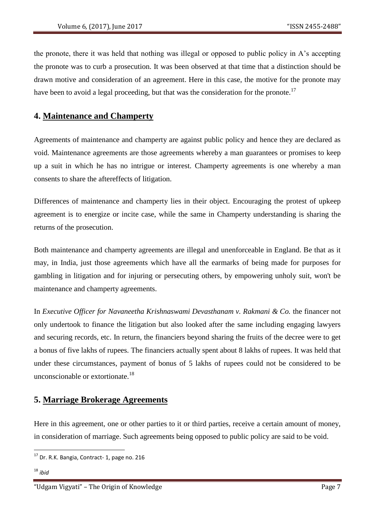the pronote, there it was held that nothing was illegal or opposed to public policy in A's accepting the pronote was to curb a prosecution. It was been observed at that time that a distinction should be drawn motive and consideration of an agreement. Here in this case, the motive for the pronote may have been to avoid a legal proceeding, but that was the consideration for the pronote.<sup>17</sup>

## **4. Maintenance and Champerty**

Agreements of maintenance and champerty are against public policy and hence they are declared as void. Maintenance agreements are those agreements whereby a man guarantees or promises to keep up a suit in which he has no intrigue or interest. Champerty agreements is one whereby a man consents to share the aftereffects of litigation.

Differences of maintenance and champerty lies in their object. Encouraging the protest of upkeep agreement is to energize or incite case, while the same in Champerty understanding is sharing the returns of the prosecution.

Both maintenance and champerty agreements are illegal and unenforceable in England. Be that as it may, in India, just those agreements which have all the earmarks of being made for purposes for gambling in litigation and for injuring or persecuting others, by empowering unholy suit, won't be maintenance and champerty agreements.

In *Executive Officer for Navaneetha Krishnaswami Devasthanam v. Rakmani & Co.* the financer not only undertook to finance the litigation but also looked after the same including engaging lawyers and securing records, etc. In return, the financiers beyond sharing the fruits of the decree were to get a bonus of five lakhs of rupees. The financiers actually spent about 8 lakhs of rupees. It was held that under these circumstances, payment of bonus of 5 lakhs of rupees could not be considered to be unconscionable or extortionate.<sup>18</sup>

#### **5. Marriage Brokerage Agreements**

Here in this agreement, one or other parties to it or third parties, receive a certain amount of money, in consideration of marriage. Such agreements being opposed to public policy are said to be void.

<sup>&</sup>lt;sup>17</sup> Dr. R.K. Bangia, Contract- 1, page no. 216

<sup>18</sup> *ibid*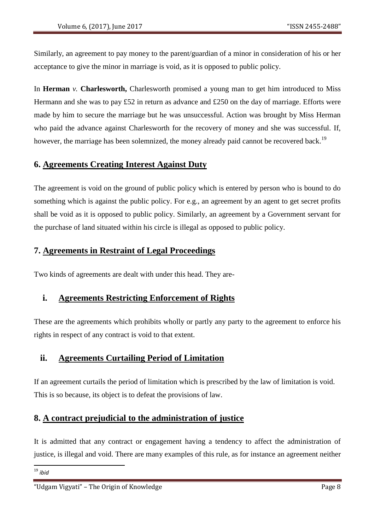Similarly, an agreement to pay money to the parent/guardian of a minor in consideration of his or her acceptance to give the minor in marriage is void, as it is opposed to public policy.

In **Herman** *v*. **Charlesworth,** Charlesworth promised a young man to get him introduced to Miss Hermann and she was to pay £52 in return as advance and £250 on the day of marriage. Efforts were made by him to secure the marriage but he was unsuccessful. Action was brought by Miss Herman who paid the advance against Charlesworth for the recovery of money and she was successful. If, however, the marriage has been solemnized, the money already paid cannot be recovered back.<sup>19</sup>

## **6. Agreements Creating Interest Against Duty**

The agreement is void on the ground of public policy which is entered by person who is bound to do something which is against the public policy. For e.g., an agreement by an agent to get secret profits shall be void as it is opposed to public policy. Similarly, an agreement by a Government servant for the purchase of land situated within his circle is illegal as opposed to public policy.

### **7. Agreements in Restraint of Legal Proceedings**

Two kinds of agreements are dealt with under this head. They are-

## **i. Agreements Restricting Enforcement of Rights**

These are the agreements which prohibits wholly or partly any party to the agreement to enforce his rights in respect of any contract is void to that extent.

## **ii. Agreements Curtailing Period of Limitation**

If an agreement curtails the period of limitation which is prescribed by the law of limitation is void. This is so because, its object is to defeat the provisions of law.

## **8. A contract prejudicial to the administration of justice**

It is admitted that any contract or engagement having a tendency to affect the administration of justice, is illegal and void. There are many examples of this rule, as for instance an agreement neither

**.** <sup>19</sup> *ibid*

<sup>&</sup>quot;Udgam Vigyati" – The Origin of Knowledge Page 8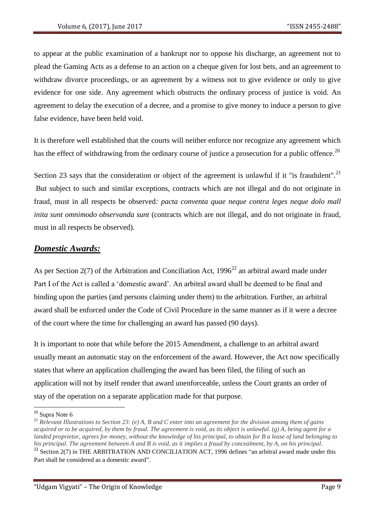to appear at the public examination of a bankrupt nor to oppose his discharge, an agreement not to plead the Gaming Acts as a defense to an action on a cheque given for lost bets, and an agreement to withdraw divorce proceedings, or an agreement by a witness not to give evidence or only to give evidence for one side. Any agreement which obstructs the ordinary process of justice is void. An agreement to delay the execution of a decree, and a promise to give money to induce a person to give false evidence, have been held void.

It is therefore well established that the courts will neither enforce nor recognize any agreement which has the effect of withdrawing from the ordinary course of justice a prosecution for a public offence.<sup>20</sup>

Section 23 says that the consideration or object of the agreement is unlawful if it "is fraudulent".<sup>21</sup> But subject to such and similar exceptions, contracts which are not illegal and do not originate in fraud, must in all respects be observed*: pacta conventa quae neque contra leges neque dolo mall inita sunt omnimodo observanda sunt* (contracts which are not illegal, and do not originate in fraud, must in all respects be observed).

## *Domestic Awards:*

As per Section 2(7) of the Arbitration and Conciliation Act,  $1996^{22}$  an arbitral award made under Part I of the Act is called a 'domestic award'. An arbitral award shall be deemed to be final and binding upon the parties (and persons claiming under them) to the arbitration. Further, an arbitral award shall be enforced under the Code of Civil Procedure in the same manner as if it were a decree of the court where the time for challenging an award has passed (90 days).

It is important to note that while before the 2015 Amendment, a challenge to an arbitral award usually meant an automatic stay on the enforcement of the award. However, the Act now specifically states that where an application challenging the award has been filed, the filing of such an application will not by itself render that award unenforceable, unless the Court grants an order of stay of the operation on a separate application made for that purpose.

<sup>&</sup>lt;sup>20</sup> Supra Note 6

*<sup>21</sup> Relevant Illustrations to Section 23: (e) A, B and C enter into an agreement for the division among them of gains acquired or to be acquired, by them by fraud. The agreement is void, as its object is unlawful. (g) A, being agent for a landed proprietor, agrees for money, without the knowledge of his principal, to obtain for B a lease of land belonging to his principal. The agreement between A and B is void, as it implies a fraud by concealment, by A, on his principal.*  $22$  Section 2(7) in THE ARBITRATION AND CONCILIATION ACT, 1996 defines "an arbitral award made under this Part shall be considered as a domestic award".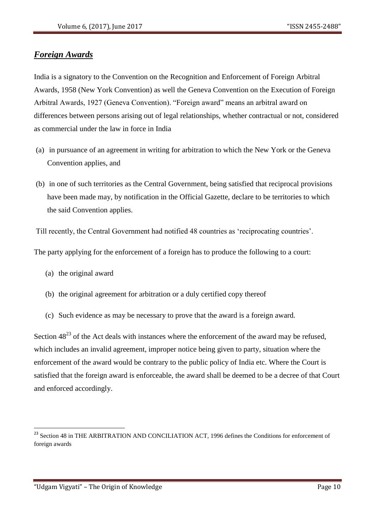### *Foreign Awards*

India is a signatory to the Convention on the Recognition and Enforcement of Foreign Arbitral Awards, 1958 (New York Convention) as well the Geneva Convention on the Execution of Foreign Arbitral Awards, 1927 (Geneva Convention). "Foreign award" means an arbitral award on differences between persons arising out of legal relationships, whether contractual or not, considered as commercial under the law in force in India

- (a) in pursuance of an agreement in writing for arbitration to which the New York or the Geneva Convention applies, and
- (b) in one of such territories as the Central Government, being satisfied that reciprocal provisions have been made may, by notification in the Official Gazette, declare to be territories to which the said Convention applies.

Till recently, the Central Government had notified 48 countries as 'reciprocating countries'.

The party applying for the enforcement of a foreign has to produce the following to a court:

- (a) the original award
- (b) the original agreement for arbitration or a duly certified copy thereof
- (c) Such evidence as may be necessary to prove that the award is a foreign award.

Section  $48^{23}$  of the Act deals with instances where the enforcement of the award may be refused, which includes an invalid agreement, improper notice being given to party, situation where the enforcement of the award would be contrary to the public policy of India etc. Where the Court is satisfied that the foreign award is enforceable, the award shall be deemed to be a decree of that Court and enforced accordingly.

<sup>&</sup>lt;sup>23</sup> Section 48 in THE ARBITRATION AND CONCILIATION ACT, 1996 defines the Conditions for enforcement of foreign awards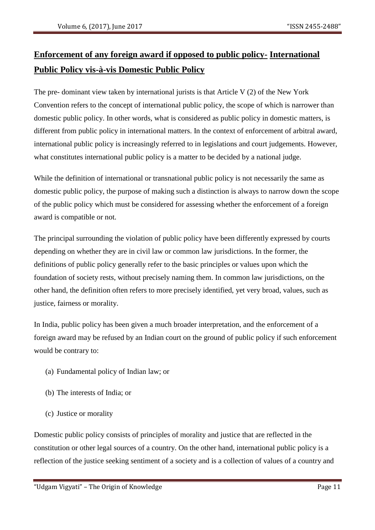# **Enforcement of any foreign award if opposed to public policy- International Public Policy vis-à-vis Domestic Public Policy**

The pre- dominant view taken by international jurists is that Article V (2) of the New York Convention refers to the concept of international public policy, the scope of which is narrower than domestic public policy. In other words, what is considered as public policy in domestic matters, is different from public policy in international matters. In the context of enforcement of arbitral award, international public policy is increasingly referred to in legislations and court judgements. However, what constitutes international public policy is a matter to be decided by a national judge.

While the definition of international or transnational public policy is not necessarily the same as domestic public policy, the purpose of making such a distinction is always to narrow down the scope of the public policy which must be considered for assessing whether the enforcement of a foreign award is compatible or not.

The principal surrounding the violation of public policy have been differently expressed by courts depending on whether they are in civil law or common law jurisdictions. In the former, the definitions of public policy generally refer to the basic principles or values upon which the foundation of society rests, without precisely naming them. In common law jurisdictions, on the other hand, the definition often refers to more precisely identified, yet very broad, values, such as justice, fairness or morality.

In India, public policy has been given a much broader interpretation, and the enforcement of a foreign award may be refused by an Indian court on the ground of public policy if such enforcement would be contrary to:

- (a) Fundamental policy of Indian law; or
- (b) The interests of India; or
- (c) Justice or morality

Domestic public policy consists of principles of morality and justice that are reflected in the constitution or other legal sources of a country. On the other hand, international public policy is a reflection of the justice seeking sentiment of a society and is a collection of values of a country and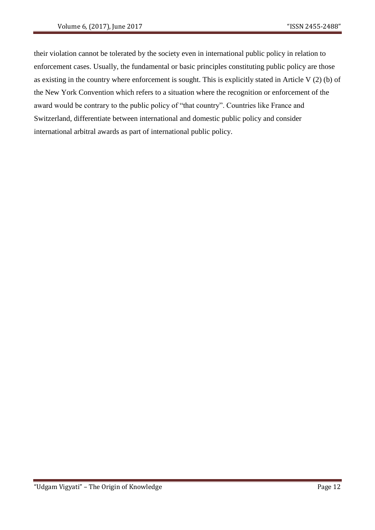their violation cannot be tolerated by the society even in international public policy in relation to enforcement cases. Usually, the fundamental or basic principles constituting public policy are those as existing in the country where enforcement is sought. This is explicitly stated in Article V (2) (b) of the New York Convention which refers to a situation where the recognition or enforcement of the award would be contrary to the public policy of "that country". Countries like France and Switzerland, differentiate between international and domestic public policy and consider international arbitral awards as part of international public policy.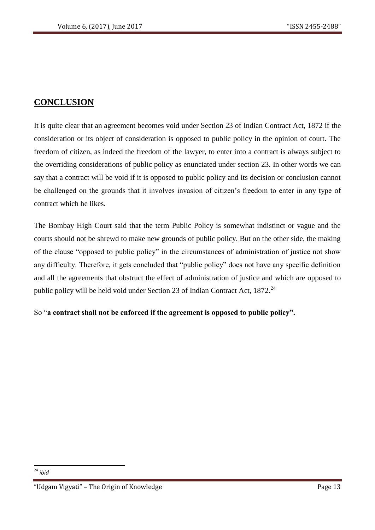# **CONCLUSION**

It is quite clear that an agreement becomes void under Section 23 of Indian Contract Act, 1872 if the consideration or its object of consideration is opposed to public policy in the opinion of court. The freedom of citizen, as indeed the freedom of the lawyer, to enter into a contract is always subject to the overriding considerations of public policy as enunciated under section 23. In other words we can say that a contract will be void if it is opposed to public policy and its decision or conclusion cannot be challenged on the grounds that it involves invasion of citizen's freedom to enter in any type of contract which he likes.

The Bombay High Court said that the term Public Policy is somewhat indistinct or vague and the courts should not be shrewd to make new grounds of public policy. But on the other side, the making of the clause "opposed to public policy" in the circumstances of administration of justice not show any difficulty. Therefore, it gets concluded that "public policy" does not have any specific definition and all the agreements that obstruct the effect of administration of justice and which are opposed to public policy will be held void under Section 23 of Indian Contract Act,  $1872.<sup>24</sup>$ 

So "**a contract shall not be enforced if the agreement is opposed to public policy".**

**<sup>.</sup>** <sup>24</sup> *ibid*